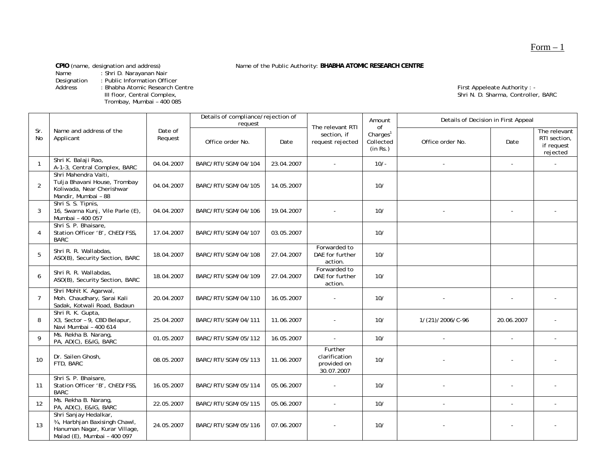**CPIO** (name, designation and address) Name of the Public Authority: **BHABHA ATOMIC RESEARCH CENTRE**<br>Name : Shri D. Narayanan Nair

Name : Shri D. Narayanan Nair

Designation : Public Information Officer

Address : Bhabha Atomic Research Centre First Appeleate Authority : - - - - - - - - First Appeleate Authority : -

Trombay, Mumbai – 400 085

III floor, Central Complex, Complex, Complex, Complex, Complex, Complex, Complex, Complex, Complex, Complex, Complex, Complex, Complex, Complex, Complex, Complex, Complex, Complex, Complex, Complex, Complex, Complex, Compl

|                |                                                                                                                        |                    | Details of compliance/rejection of<br>request |            | The relevant RTI                                      | Amount<br>0f                                  | Details of Decision in First Appeal |            |                                                        |
|----------------|------------------------------------------------------------------------------------------------------------------------|--------------------|-----------------------------------------------|------------|-------------------------------------------------------|-----------------------------------------------|-------------------------------------|------------|--------------------------------------------------------|
| Sr.<br>No      | Name and address of the<br>Applicant                                                                                   | Date of<br>Request | Office order No.                              | Date       | section, if<br>request rejected                       | Charles <sup>1</sup><br>Collected<br>(in Rs.) | Office order No.                    | Date       | The relevant<br>RTI section,<br>if request<br>rejected |
| $\mathbf{1}$   | Shri K. Balaji Rao,<br>A-1-3, Central Complex, BARC                                                                    | 04.04.2007         | BARC/RTI/SGM/04/104                           | 23.04.2007 |                                                       | $10/-$                                        |                                     | $\sim$     |                                                        |
| $\overline{2}$ | Shri Mahendra Vaiti,<br>Tulja Bhavani House, Trombay<br>Koliwada, Near Cherishwar<br>Mandir, Mumbai - 88               | 04.04.2007         | BARC/RTI/SGM/04/105                           | 14.05.2007 |                                                       | 10/                                           |                                     |            |                                                        |
| 3              | Shri S. S. Tipnis,<br>16, Swarna Kunj, Vile Parle (E),<br>Mumbai - 400 057                                             | 04.04.2007         | BARC/RTI/SGM/04/106                           | 19.04.2007 |                                                       | 10/                                           |                                     |            |                                                        |
| $\overline{4}$ | Shri S. P. Bhaisare,<br>Station Officer 'B', ChED/FSS,<br><b>BARC</b>                                                  | 17.04.2007         | BARC/RTI/SGM/04/107                           | 03.05.2007 |                                                       | 10/                                           |                                     |            |                                                        |
| 5              | Shri R. R. Wallabdas,<br>ASO(B), Security Section, BARC                                                                | 18.04.2007         | BARC/RTI/SGM/04/108                           | 27.04.2007 | Forwarded to<br>DAE for further<br>action.            | 10/                                           |                                     |            |                                                        |
| 6              | Shri R. R. Wallabdas,<br>ASO(B), Security Section, BARC                                                                | 18.04.2007         | BARC/RTI/SGM/04/109                           | 27.04.2007 | Forwarded to<br>DAE for further<br>action.            | 10/                                           |                                     |            |                                                        |
| $\overline{7}$ | Shri Mohit K. Agarwal,<br>Moh. Chaudhary, Sarai Kali<br>Sadak, Kotwali Road, Badaun                                    | 20.04.2007         | BARC/RTI/SGM/04/110                           | 16.05.2007 |                                                       | 10/                                           |                                     |            |                                                        |
| 8              | Shri R. K. Gupta,<br>X3, Sector - 9, CBD Belapur,<br>Navi Mumbai - 400 614                                             | 25.04.2007         | BARC/RTI/SGM/04/111                           | 11.06.2007 |                                                       | 10/                                           | 1/(21)/2006/C-96                    | 20.06.2007 |                                                        |
| 9              | Ms. Rekha B. Narang,<br>PA, AD(C), E&IG, BARC                                                                          | 01.05.2007         | BARC/RTI/SGM/05/112                           | 16.05.2007 | $\sim$                                                | 10/                                           | $\overline{\phantom{a}}$            | $\sim$     |                                                        |
| 10             | Dr. Sailen Ghosh,<br>FTD, BARC                                                                                         | 08.05.2007         | BARC/RTI/SGM/05/113                           | 11.06.2007 | Further<br>clarification<br>provided on<br>30.07.2007 | 10/                                           |                                     |            |                                                        |
| 11             | Shri S. P. Bhaisare,<br>Station Officer 'B', ChED/FSS,<br><b>BARC</b>                                                  | 16.05.2007         | BARC/RTI/SGM/05/114                           | 05.06.2007 |                                                       | 10/                                           |                                     |            |                                                        |
| 12             | Ms. Rekha B. Narang,<br>PA, AD(C), E&IG, BARC                                                                          | 22.05.2007         | BARC/RTI/SGM/05/115                           | 05.06.2007 | $\sim$                                                | 10/                                           | $\blacksquare$                      |            |                                                        |
| 13             | Shri Sanjay Hedalkar,<br>34, Harbhjan Baxisingh Chawl,<br>Hanuman Nagar, Kurar Village,<br>Malad (E), Mumbai - 400 097 | 24.05.2007         | BARC/RTI/SGM/05/116                           | 07.06.2007 |                                                       | 10/                                           |                                     |            |                                                        |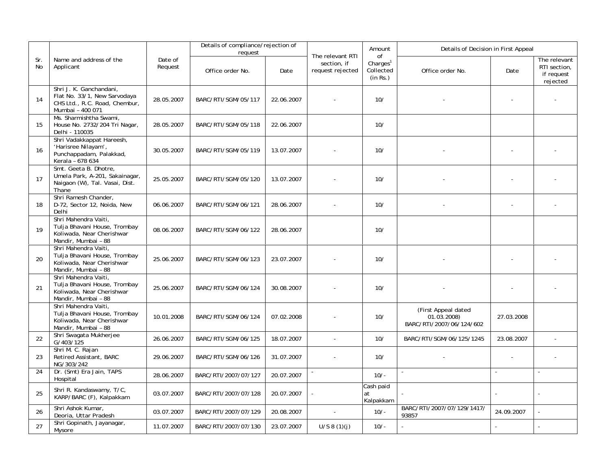|           |                                                                                                              |                    | Details of compliance/rejection of |            |                                                     | Amount                                              | Details of Decision in First Appeal                                         |            |                                                        |
|-----------|--------------------------------------------------------------------------------------------------------------|--------------------|------------------------------------|------------|-----------------------------------------------------|-----------------------------------------------------|-----------------------------------------------------------------------------|------------|--------------------------------------------------------|
| Sr.<br>No | Name and address of the<br>Applicant                                                                         | Date of<br>Request | request<br>Office order No.        | Date       | The relevant RTI<br>section, if<br>request rejected | of<br>Charles <sup>1</sup><br>Collected<br>(in Rs.) | Office order No.                                                            | Date       | The relevant<br>RTI section,<br>if request<br>rejected |
| 14        | Shri J. K. Ganchandani,<br>Flat No. 33/1, New Sarvodaya<br>CHS Ltd., R.C. Road, Chembur,<br>Mumbai - 400 071 | 28.05.2007         | BARC/RTI/SGM/05/117                | 22.06.2007 |                                                     | 10/                                                 |                                                                             |            |                                                        |
| 15        | Ms. Sharmishtha Swami,<br>House No. 2732/204 Tri Nagar,<br>Delhi - 110035                                    | 28.05.2007         | BARC/RTI/SGM/05/118                | 22.06.2007 |                                                     | 10/                                                 |                                                                             |            |                                                        |
| 16        | Shri Vadakkappat Hareesh,<br>'Harisree Nilayam',<br>Punchappadam, Palakkad,<br>Kerala - 678 634              | 30.05.2007         | BARC/RTI/SGM/05/119                | 13.07.2007 |                                                     | 10/                                                 |                                                                             |            |                                                        |
| 17        | Smt. Geeta B. Dhotre,<br>Umela Park, A-201, Sakainagar,<br>Naigaon (W), Tal. Vasai, Dist.<br>Thane           | 25.05.2007         | BARC/RTI/SGM/05/120                | 13.07.2007 |                                                     | 10/                                                 |                                                                             |            |                                                        |
| 18        | Shri Ramesh Chander,<br>D-72, Sector 12, Noida, New<br>Delhi                                                 | 06.06.2007         | BARC/RTI/SGM/06/121                | 28.06.2007 |                                                     | 10/                                                 |                                                                             |            |                                                        |
| 19        | Shri Mahendra Vaiti,<br>Tulja Bhavani House, Trombay<br>Koliwada, Near Cherishwar<br>Mandir, Mumbai - 88     | 08.06.2007         | BARC/RTI/SGM/06/122                | 28.06.2007 |                                                     | 10/                                                 |                                                                             |            |                                                        |
| 20        | Shri Mahendra Vaiti,<br>Tulja Bhavani House, Trombay<br>Koliwada, Near Cherishwar<br>Mandir, Mumbai - 88     | 25.06.2007         | BARC/RTI/SGM/06/123                | 23.07.2007 |                                                     | 10/                                                 |                                                                             |            |                                                        |
| 21        | Shri Mahendra Vaiti,<br>Tulja Bhavani House, Trombay<br>Koliwada, Near Cherishwar<br>Mandir, Mumbai - 88     | 25.06.2007         | BARC/RTI/SGM/06/124                | 30.08.2007 |                                                     | 10/                                                 |                                                                             |            |                                                        |
|           | Shri Mahendra Vaiti,<br>Tulja Bhavani House, Trombay<br>Koliwada, Near Cherishwar<br>Mandir, Mumbai - 88     | 10.01.2008         | BARC/RTI/SGM/06/124                | 07.02.2008 |                                                     | 10/                                                 | (First Appeal dated<br>$01.\dot{0}\dot{3}.2008$<br>BARC/RTI/2007/06/124/602 | 27.03.2008 |                                                        |
| 22        | Shri Swagata Mukherjee<br>G/403/125                                                                          | 26.06.2007         | BARC/RTI/SGM/06/125                | 18.07.2007 | $\sim$                                              | 10/                                                 | BARC/RTI/SGM/06/125/1245                                                    | 23.08.2007 | L,                                                     |
| 23        | Shri M. C. Rajan<br>Retired Assistant, BARC<br>NG/303/242                                                    | 29.06.2007         | BARC/RTI/SGM/06/126                | 31.07.2007 |                                                     | 10/                                                 |                                                                             |            |                                                        |
| 24        | Dr. (Smt) Era Jain, TAPS<br>Hospital                                                                         | 28.06.2007         | BARC/RTI/2007/07/127               | 20.07.2007 |                                                     | $10/-$                                              |                                                                             | $\sim$     |                                                        |
| 25        | Shri R. Kandaswamy, T/C,<br>KARP/BARC (F), Kalpakkam                                                         | 03.07.2007         | BARC/RTI/2007/07/128               | 20.07.2007 |                                                     | Cash paid<br>at<br>Kalpakkam                        |                                                                             |            |                                                        |
| 26        | Shri Ashok Kumar,<br>Deoria, Uttar Pradesh                                                                   | 03.07.2007         | BARC/RTI/2007/07/129               | 20.08.2007 | ÷.                                                  | $10/-$                                              | BARC/RTI/2007/07/129/1417/<br>93857                                         | 24.09.2007 | $\overline{a}$                                         |
| 27        | Shri Gopinath, Jayanagar,<br>Mysore                                                                          | 11.07.2007         | BARC/RTI/2007/07/130               | 23.07.2007 | U/S 8(1)(j)                                         | $10/-$                                              |                                                                             |            |                                                        |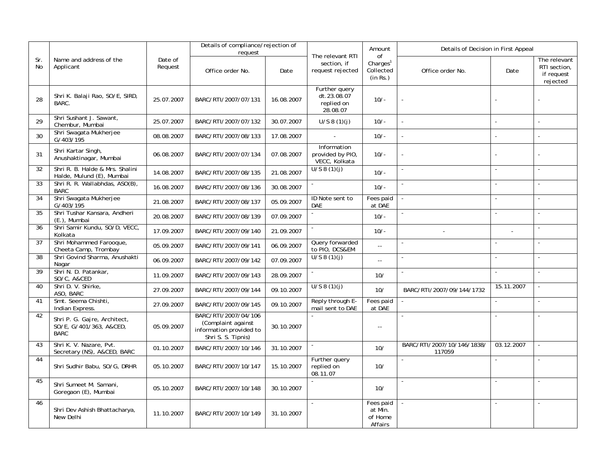|           |                                                                        |                    | Details of compliance/rejection of                                                          |            |                                                        | Amount                                              | Details of Decision in First Appeal  |                     |                                                        |
|-----------|------------------------------------------------------------------------|--------------------|---------------------------------------------------------------------------------------------|------------|--------------------------------------------------------|-----------------------------------------------------|--------------------------------------|---------------------|--------------------------------------------------------|
| Sr.<br>No | Name and address of the<br>Applicant                                   | Date of<br>Request | request<br>Office order No.                                                                 | Date       | The relevant RTI<br>section, if<br>request rejected    | of<br>Charles <sup>1</sup><br>Collected<br>(in Rs.) | Office order No.                     | Date                | The relevant<br>RTI section,<br>if request<br>rejected |
| 28        | Shri K. Balaji Rao, SO/E, SIRD,<br>BARC.                               | 25.07.2007         | BARC/RTI/2007/07/131                                                                        | 16.08.2007 | Further query<br>dt.23.08.07<br>replied on<br>28.08.07 | $10/-$                                              |                                      |                     |                                                        |
| 29        | Shri Sushant J. Sawant,<br>Chembur, Mumbai                             | 25.07.2007         | BARC/RTI/2007/07/132                                                                        | 30.07.2007 | U/S 8(1)(j)                                            | $10/-$                                              |                                      | ÷,                  |                                                        |
| 30        | Shri Swagata Mukherjee<br>G/403/195                                    | 08.08.2007         | BARC/RTI/2007/08/133                                                                        | 17.08.2007 |                                                        | $10/-$                                              |                                      |                     |                                                        |
| 31        | Shri Kartar Singh,<br>Anushaktinagar, Mumbai                           | 06.08.2007         | BARC/RTI/2007/07/134                                                                        | 07.08.2007 | Information<br>provided by PIO,<br>VECC, Kolkata       | $10/-$                                              |                                      |                     |                                                        |
| 32        | Shri R. B. Halde & Mrs. Shalini<br>Halde, Mulund (E), Mumbai           | 14.08.2007         | BARC/RTI/2007/08/135                                                                        | 21.08.2007 | U/S 8(1)(j)                                            | $10/-$                                              |                                      |                     |                                                        |
| 33        | Shri R. R. Wallabhdas, ASO(B),<br><b>BARC</b>                          | 16.08.2007         | BARC/RTI/2007/08/136                                                                        | 30.08.2007 |                                                        | $10/-$                                              |                                      | $\sim$              | $\sim$                                                 |
| 34        | Shri Swagata Mukherjee<br>G/403/195                                    | 21.08.2007         | BARC/RTI/2007/08/137                                                                        | 05.09.2007 | ID Note sent to<br>DAE                                 | Fees paid<br>at DAE                                 |                                      |                     |                                                        |
| 35        | Shri Tushar Kansara, Andheri<br>(E.), Mumbai                           | 20.08.2007         | BARC/RTI/2007/08/139                                                                        | 07.09.2007 |                                                        | $10/-$                                              |                                      | ÷,                  |                                                        |
| 36        | Shri Samir Kundu, SO/D, VECC,<br>Kolkata                               | 17.09.2007         | BARC/RTI/2007/09/140                                                                        | 21.09.2007 |                                                        | $10/-$                                              |                                      |                     |                                                        |
| 37        | Shri Mohammed Farooque,<br>Cheeta Camp, Trombay                        | 05.09.2007         | BARC/RTI/2007/09/141                                                                        | 06.09.2007 | Query forwarded<br>to PIO, DCS&EM                      | $\sim$ $\sim$                                       |                                      |                     |                                                        |
| 38        | Shri Govind Sharma, Anushakti<br>Nagar                                 | 06.09.2007         | BARC/RTI/2007/09/142                                                                        | 07.09.2007 | U/S 8(1)(j)                                            | u.                                                  |                                      |                     |                                                        |
| 39        | Shri N. D. Patankar,<br>SO/C, A&CED                                    | 11.09.2007         | BARC/RTI/2007/09/143                                                                        | 28.09.2007 |                                                        | 10/                                                 |                                      | ÷,                  | $\sim$                                                 |
| 40        | Shri D. V. Shirke,<br>ASO, BARC                                        | 27.09.2007         | BARC/RTI/2007/09/144                                                                        | 09.10.2007 | U/S 8(1)(j)                                            | 10/                                                 | BARC/RTI/2007/09/144/1732            | 15.11.2007          |                                                        |
| 41        | Smt. Seema Chishti,<br>Indian Express.                                 | 27.09.2007         | BARC/RTI/2007/09/145                                                                        | 09.10.2007 | Reply through E-<br>mail sent to DAE                   | Fees paid<br>at DAE                                 |                                      | $\mathbf{r}$        |                                                        |
| 42        | Shri P. G. Gajre, Architect,<br>SO/E, G/401/363, A&CED,<br><b>BARC</b> | 05.09.2007         | BARC/RTI/2007/04/106<br>(Complaint against<br>information provided to<br>Shri S. S. Tipnis) | 30.10.2007 |                                                        | $\sim$ $\sim$                                       | $\overline{a}$                       | $\sim$              | $\sim$                                                 |
| 43        | Shri K. V. Nazare, Pvt.<br>Secretary (NS), A&CED, BARC                 | 01.10.2007         | BARC/RTI/2007/10/146                                                                        | 31.10.2007 |                                                        | 10/                                                 | BARC/RTI/2007/10/146/1838/<br>117059 | 03.12.2007          |                                                        |
| 44        | Shri Sudhir Babu, SO/G, DRHR                                           | 05.10.2007         | BARC/RTI/2007/10/147                                                                        | 15.10.2007 | Further query<br>replied on<br>08.11.07                | 10/                                                 |                                      | ÷,                  |                                                        |
| 45        | Shri Sumeet M. Samani,<br>Goregaon (E), Mumbai                         | 05.10.2007         | BARC/RTI/2007/10/148                                                                        | 30.10.2007 |                                                        | 10/                                                 |                                      | $\overline{a}$      |                                                        |
| 46        | Shri Dev Ashish Bhattacharya,<br>New Delhi                             | 11.10.2007         | BARC/RTI/2007/10/149                                                                        | 31.10.2007 | $\sim$                                                 | Fees paid<br>at Min.<br>of Home<br>Affairs          |                                      | $\bar{\phantom{a}}$ | $\blacksquare$                                         |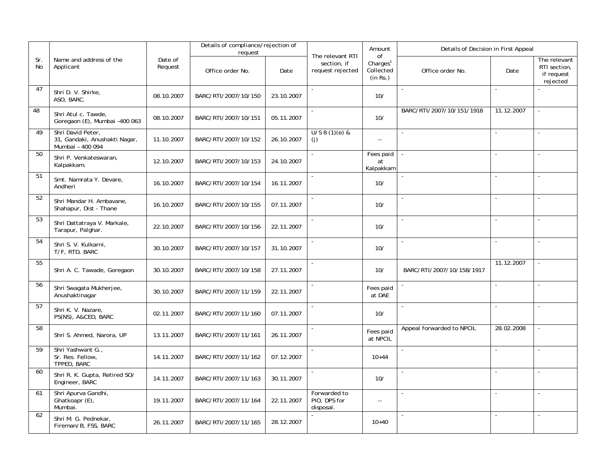|           |                                                                        |                    | Details of compliance/rejection of |            |                                                     | Amount                                              | Details of Decision in First Appeal |                          |                                                        |
|-----------|------------------------------------------------------------------------|--------------------|------------------------------------|------------|-----------------------------------------------------|-----------------------------------------------------|-------------------------------------|--------------------------|--------------------------------------------------------|
| Sr.<br>No | Name and address of the<br>Applicant                                   | Date of<br>Request | request<br>Office order No.        | Date       | The relevant RTI<br>section, if<br>request rejected | 0f<br>Charles <sup>1</sup><br>Collected<br>(in Rs.) | Office order No.                    | Date                     | The relevant<br>RTI section,<br>if request<br>rejected |
| 47        | Shri D. V. Shirke,<br>ASO, BARC.                                       | 08.10.2007         | BARC/RTI/2007/10/150               | 23.10.2007 | $\sim$                                              | 10/                                                 |                                     | $\sim$                   |                                                        |
| 48        | Shri Atul c. Tawde,<br>Goregaon (E), Mumbai -400 063                   | 08.10.2007         | BARC/RTI/2007/10/151               | 05.11.2007 | $\sim$                                              | 10/                                                 | BARC/RTI/2007/10/151/1918           | 11.12.2007               |                                                        |
| 49        | Shri David Peter,<br>31, Gandaki, Anushakti Nagar,<br>Mumbai - 400 094 | 11.10.2007         | BARC/RTI/2007/10/152               | 26.10.2007 | $U/S 8(1)(e)$ &<br>(j)                              | $\sim$ $\sim$                                       |                                     |                          |                                                        |
| 50        | Shri P. Venkateswaran,<br>Kalpakkam.                                   | 12.10.2007         | BARC/RTI/2007/10/153               | 24.10.2007 | $\sim$                                              | Fees paid<br>at<br>Kalpakkam                        |                                     | $\sim$                   |                                                        |
| 51        | Smt. Namrata Y. Devare,<br>Andheri                                     | 16.10.2007         | BARC/RTI/2007/10/154               | 16.11.2007 |                                                     | 10/                                                 |                                     |                          |                                                        |
| 52        | Shri Mandar H. Ambavane,<br>Shahapur, Dist - Thane                     | 16.10.2007         | BARC/RTI/2007/10/155               | 07.11.2007 |                                                     | 10/                                                 |                                     |                          |                                                        |
| 53        | Shri Dattatraya V. Markale,<br>Tarapur, Palghar.                       | 22.10.2007         | BARC/RTI/2007/10/156               | 22.11.2007 | $\sim$                                              | 10/                                                 |                                     | $\sim$                   | $\sim$                                                 |
| 54        | Shri S. V. Kulkarni,<br>T/F, RTD, BARC                                 | 30.10.2007         | BARC/RTI/2007/10/157               | 31.10.2007 | $\sim$                                              | 10/                                                 | $\bar{a}$                           | $\mathbf{r}$             | $\sim$                                                 |
| 55        | Shri A. C. Tawade, Goregaon                                            | 30.10.2007         | BARC/RTI/2007/10/158               | 27.11.2007 |                                                     | 10/                                                 | BARC/RTI/2007/10/158/1917           | 11.12.2007               |                                                        |
| 56        | Shri Swagata Mukherjee,<br>Anushaktinagar                              | 30.10.2007         | BARC/RTI/2007/11/159               | 22.11.2007 | $\sim$                                              | Fees paid<br>at DAE                                 |                                     | $\overline{\phantom{a}}$ | $\overline{a}$                                         |
| 57        | Shri K. V. Nazare,<br>PS(NS), A&CED, BARC                              | 02.11.2007         | BARC/RTI/2007/11/160               | 07.11.2007 | $\sim$                                              | 10/                                                 | $\mathbf{r}$                        | $\bar{\phantom{a}}$      | $\mathbf{r}$                                           |
| 58        | Shri S. Ahmed, Narora, UP                                              | 13.11.2007         | BARC/RTI/2007/11/161               | 26.11.2007 |                                                     | Fees paid<br>at NPCIL                               | Appeal forwarded to NPCIL           | 28.02.2008               |                                                        |
| 59        | Shri Yashwant G.,<br>Sr. Res. Fellow,<br>TPPED, BARC                   | 14.11.2007         | BARC/RTI/2007/11/162               | 07.12.2007 |                                                     | $10 + 44$                                           |                                     |                          |                                                        |
| 60        | Shri R. K. Gupta, Retired SO/<br>Engineer, BARC                        | 14.11.2007         | BARC/RTI/2007/11/163               | 30.11.2007 | $\sim$                                              | 10/                                                 |                                     | ÷,                       |                                                        |
| 61        | Shri Apurva Gandhi,<br>Ghatkoapr (E),<br>Mumbai.                       | 19.11.2007         | BARC/RTI/2007/11/164               | 22.11.2007 | Forwarded to<br>PIO, DPS for<br>disposal.           | $\overline{\phantom{a}}$                            |                                     | $\overline{a}$           | $\overline{a}$                                         |
| 62        | Shri M. G. Pednekar,<br>Fireman/B, FSS, BARC                           | 26.11.2007         | BARC/RTI/2007/11/165               | 28.12.2007 |                                                     | $10 + 40$                                           |                                     | $\bar{\phantom{a}}$      | $\overline{a}$                                         |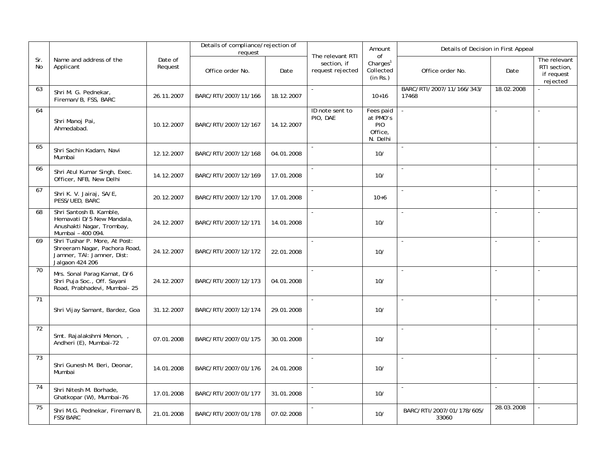|                 |                                                                                                                 |                    | Details of compliance/rejection of |            |                                                     | Amount                                                     | Details of Decision in First Appeal |                          |                                                        |
|-----------------|-----------------------------------------------------------------------------------------------------------------|--------------------|------------------------------------|------------|-----------------------------------------------------|------------------------------------------------------------|-------------------------------------|--------------------------|--------------------------------------------------------|
| Sr.<br>No       | Name and address of the<br>Applicant                                                                            | Date of<br>Request | request<br>Office order No.        | Date       | The relevant RTI<br>section, if<br>request rejected | of<br>Charles <sup>1</sup><br>Collected<br>(in Rs.)        | Office order No.                    | Date                     | The relevant<br>RTI section,<br>if request<br>rejected |
| 63              | Shri M. G. Pednekar,<br>Fireman/B, FSS, BARC                                                                    | 26.11.2007         | BARC/RTI/2007/11/166               | 18.12.2007 | $\blacksquare$                                      | $10+16$                                                    | BARC/RTI/2007/11/166/343/<br>17468  | 18.02.2008               |                                                        |
| 64              | Shri Manoj Pai,<br>Ahmedabad.                                                                                   | 10.12.2007         | BARC/RTI/2007/12/167               | 14.12.2007 | ID note sent to<br>PIO, DAE                         | Fees paid<br>at PMO's<br><b>PIO</b><br>Office.<br>N. Delhi | $\overline{a}$                      | $\overline{a}$           | $\mathbf{r}$                                           |
| 65              | Shri Sachin Kadam, Navi<br>Mumbai                                                                               | 12.12.2007         | BARC/RTI/2007/12/168               | 04.01.2008 | $\sim$                                              | 10/                                                        |                                     | $\mathbf{r}$             | $\sim$                                                 |
| 66              | Shri Atul Kumar Singh, Exec.<br>Officer, NFB, New Delhi                                                         | 14.12.2007         | BARC/RTI/2007/12/169               | 17.01.2008 |                                                     | 10/                                                        |                                     |                          |                                                        |
| 67              | Shri K. V. Jairaj, SA/E,<br>PESS/UED, BARC                                                                      | 20.12.2007         | BARC/RTI/2007/12/170               | 17.01.2008 | $\sim$                                              | $10+6$                                                     |                                     | $\sim$                   | $\sim$                                                 |
| 68              | Shri Santosh B. Kamble,<br>Hemavati D/5 New Mandala,<br>Anushakti Nagar, Trombay,<br>Mumbai - 400 094.          | 24.12.2007         | BARC/RTI/2007/12/171               | 14.01.2008 | $\mathbf{r}$                                        | 10/                                                        |                                     | $\overline{\phantom{a}}$ |                                                        |
| 69              | Shri Tushar P. More, At Post:<br>Shreeram Nagar, Pachora Road,<br>Jamner, TAI: Jamner, Dist:<br>Jalgaon 424 206 | 24.12.2007         | BARC/RTI/2007/12/172               | 22.01.2008 |                                                     | 10/                                                        |                                     | $\overline{\phantom{a}}$ |                                                        |
| 70              | Mrs. Sonal Parag Kamat, D/6<br>Shri Puja Soc., Off. Sayani<br>Road, Prabhadevi, Mumbai- 25                      | 24.12.2007         | BARC/RTI/2007/12/173               | 04.01.2008 | $\sim$                                              | 10/                                                        |                                     | ÷,                       |                                                        |
| 71              | Shri Vijay Samant, Bardez, Goa                                                                                  | 31.12.2007         | BARC/RTI/2007/12/174               | 29.01.2008 | $\sim$                                              | 10/                                                        | $\overline{a}$                      | $\overline{\phantom{a}}$ |                                                        |
| $\overline{72}$ | Smt. Rajalakshmi Menon,<br>Andheri (E), Mumbai-72                                                               | 07.01.2008         | BARC/RTI/2007/01/175               | 30.01.2008 | $\sim$                                              | 10/                                                        |                                     | $\overline{\phantom{a}}$ | $\sim$                                                 |
| 73              | Shri Gunesh M. Beri, Deonar,<br>Mumbai                                                                          | 14.01.2008         | BARC/RTI/2007/01/176               | 24.01.2008 | $\overline{a}$                                      | 10/                                                        |                                     | $\overline{a}$           | $\sim$                                                 |
| 74              | Shri Nitesh M. Borhade,<br>Ghatkopar (W), Mumbai-76                                                             | 17.01.2008         | BARC/RTI/2007/01/177               | 31.01.2008 |                                                     | 10/                                                        |                                     | $\overline{\phantom{a}}$ |                                                        |
| 75              | Shri M.G. Pednekar, Fireman/B,<br>FSS/BARC                                                                      | 21.01.2008         | BARC/RTI/2007/01/178               | 07.02.2008 |                                                     | 10/                                                        | BARC/RTI/2007/01/178/605/<br>33060  | 28.03.2008               |                                                        |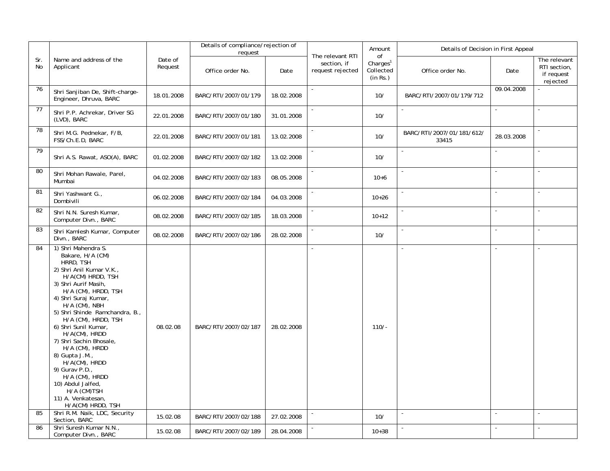|           |                                                                                                                                                                                                                                                                                                                                                                                                                                                                                                    |                    | Details of compliance/rejection of<br>request |            |                                                     | Amount                                              | Details of Decision in First Appeal |                |                                                        |
|-----------|----------------------------------------------------------------------------------------------------------------------------------------------------------------------------------------------------------------------------------------------------------------------------------------------------------------------------------------------------------------------------------------------------------------------------------------------------------------------------------------------------|--------------------|-----------------------------------------------|------------|-----------------------------------------------------|-----------------------------------------------------|-------------------------------------|----------------|--------------------------------------------------------|
| Sr.<br>No | Name and address of the<br>Applicant                                                                                                                                                                                                                                                                                                                                                                                                                                                               | Date of<br>Request | Office order No.                              | Date       | The relevant RTI<br>section, if<br>request rejected | 0f<br>Charles <sup>1</sup><br>Collected<br>(in Rs.) | Office order No.                    | Date           | The relevant<br>RTI section,<br>if request<br>rejected |
| 76        | Shri Sanjiban De, Shift-charge-<br>Engineer, Dhruva, BARC                                                                                                                                                                                                                                                                                                                                                                                                                                          | 18.01.2008         | BARC/RTI/2007/01/179                          | 18.02.2008 | $\blacksquare$                                      | 10/                                                 | BARC/RTI/2007/01/179/712            | 09.04.2008     |                                                        |
| 77        | Shri P.P. Achrekar, Driver SG<br>(LVD), BARC                                                                                                                                                                                                                                                                                                                                                                                                                                                       | 22.01.2008         | BARC/RTI/2007/01/180                          | 31.01.2008 |                                                     | 10/                                                 |                                     | $\overline{a}$ |                                                        |
| 78        | Shri M.G. Pednekar, F/B,<br>FSS/Ch.E.D, BARC                                                                                                                                                                                                                                                                                                                                                                                                                                                       | 22.01.2008         | BARC/RTI/2007/01/181                          | 13.02.2008 |                                                     | 10/                                                 | BARC/RTI/2007/01/181/612/<br>33415  | 28.03.2008     |                                                        |
| 79        | Shri A.S. Rawat, ASO(A), BARC                                                                                                                                                                                                                                                                                                                                                                                                                                                                      | 01.02.2008         | BARC/RTI/2007/02/182                          | 13.02.2008 |                                                     | 10/                                                 | $\overline{a}$                      | ÷,             |                                                        |
| 80        | Shri Mohan Rawale, Parel,<br>Mumbai                                                                                                                                                                                                                                                                                                                                                                                                                                                                | 04.02.2008         | BARC/RTI/2007/02/183                          | 08.05.2008 | $\overline{a}$                                      | $10+6$                                              | $\overline{a}$                      | $\overline{a}$ | $\mathbf{r}$                                           |
| 81        | Shri Yashwant G.,<br>Dombivili                                                                                                                                                                                                                                                                                                                                                                                                                                                                     | 06.02.2008         | BARC/RTI/2007/02/184                          | 04.03.2008 |                                                     | $10 + 26$                                           |                                     | $\overline{a}$ |                                                        |
| 82        | Shri N.N. Suresh Kumar,<br>Computer Divn., BARC                                                                                                                                                                                                                                                                                                                                                                                                                                                    | 08.02.2008         | BARC/RTI/2007/02/185                          | 18.03.2008 |                                                     | $10+12$                                             |                                     |                |                                                        |
| 83        | Shri Kamlesh Kumar, Computer<br>Divn., BARC                                                                                                                                                                                                                                                                                                                                                                                                                                                        | 08.02.2008         | BARC/RTI/2007/02/186                          | 28.02.2008 |                                                     | 10/                                                 |                                     | $\overline{a}$ | $\overline{a}$                                         |
| 84        | 1) Shri Mahendra S.<br>Bakare, H/A (CM)<br>HRRD, TSH<br>2) Shri Anil Kumar V.K.,<br>H/A(CM) HRDD, TSH<br>3) Shri Aurif Masih,<br>H/A (CM), HRDD, TSH<br>4) Shri Suraj Kumar,<br>H/A (CM), NBH<br>5) Shri Shinde Ramchandra, B.,<br>H/A (CM), HRDD, TSH<br>6) Shri Sunil Kumar,<br>H/A(CM), HRDD<br>7) Shri Sachin Bhosale,<br>H/A (CM), HRDD<br>8) Gupta J.M.,<br>H/A(CM), HRDD<br>9) Gurav P.D.,<br>H/A (CM), HRDD<br>10) Abdul Jalfed,<br>H/A (CM)TSH<br>11) A. Venkatesan,<br>H/A(CM) HRDD, TSH | 08.02.08           | BARC/RTI/2007/02/187                          | 28.02.2008 | $\overline{\phantom{a}}$                            | $110/-$                                             |                                     | $\blacksquare$ | $\sim$                                                 |
| 85        | Shri R.M. Naik, LDC, Security<br>Section, BARC                                                                                                                                                                                                                                                                                                                                                                                                                                                     | 15.02.08           | BARC/RTI/2007/02/188                          | 27.02.2008 | $\blacksquare$                                      | 10/                                                 | $\blacksquare$                      | $\sim$         | $\sim$                                                 |
| 86        | Shri Suresh Kumar N.N.,<br>Computer Divn., BARC                                                                                                                                                                                                                                                                                                                                                                                                                                                    | 15.02.08           | BARC/RTI/2007/02/189                          | 28.04.2008 |                                                     | $10 + 38$                                           |                                     |                |                                                        |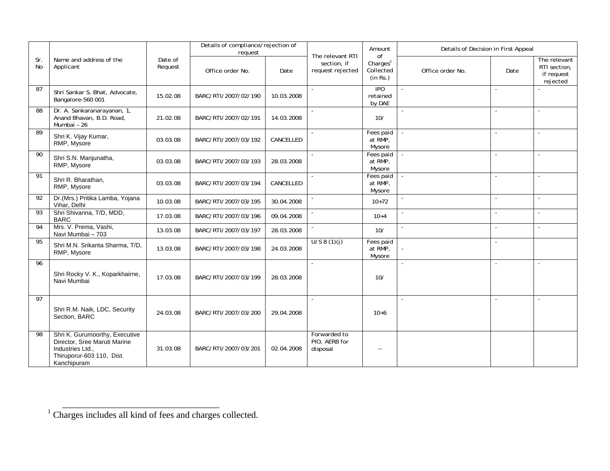|                 |                                                                                                                                |                    | Details of compliance/rejection of<br>request |            |                                                     | Amount                                              | Details of Decision in First Appeal |                          |                                                        |
|-----------------|--------------------------------------------------------------------------------------------------------------------------------|--------------------|-----------------------------------------------|------------|-----------------------------------------------------|-----------------------------------------------------|-------------------------------------|--------------------------|--------------------------------------------------------|
| Sr.<br>No       | Name and address of the<br>Applicant                                                                                           | Date of<br>Request | Office order No.                              | Date       | The relevant RTI<br>section, if<br>request rejected | of<br>Charles <sup>1</sup><br>Collected<br>(in Rs.) | Office order No.                    | Date                     | The relevant<br>RTI section,<br>if request<br>rejected |
| 87              | Shri Sankar S. Bhat, Advocate,<br>Bangalore-560 001                                                                            | 15.02.08           | BARC/RTI/2007/02/190                          | 10.03.2008 | $\omega$                                            | IPO<br>retained<br>by DAE                           | $\sim$                              | $\sim$                   |                                                        |
| $\overline{88}$ | Dr. A. Sankaranarayanan, 1,<br>Anand Bhavan, B.D. Road,<br>Mumbai - 26                                                         | 21.02.08           | BARC/RTI/2007/02/191                          | 14.03.2008 | $\sim$                                              | 10/                                                 | $\sim$                              | $\sim$                   | $\sim$                                                 |
| 89              | Shri K. Vijay Kumar,<br>RMP, Mysore                                                                                            | 03.03.08           | BARC/RTI/2007/03/192                          | CANCELLED  | $\blacksquare$                                      | Fees paid<br>at RMP,<br>Mysore                      |                                     | $\sim$                   | $\sim$                                                 |
| 90              | Shri S.N. Manjunatha,<br>RMP, Mysore                                                                                           | 03.03.08           | BARC/RTI/2007/03/193                          | 28.03.2008 | $\blacksquare$                                      | Fees paid<br>at RMP,<br>Mysore                      |                                     | $\sim$                   | ÷.                                                     |
| $\overline{91}$ | Shri R. Bharathan,<br>RMP, Mysore                                                                                              | 03.03.08           | BARC/RTI/2007/03/194                          | CANCELLED  | $\sim$                                              | Fees paid<br>at RMP,<br>Mysore                      | $\blacksquare$                      | $\sim$                   | $\sim$                                                 |
| 92              | Dr.(Mrs.) Pritika Lamba, Yojana<br>Vihar, Delhi                                                                                | 10.03.08           | BARC/RTI/2007/03/195                          | 30.04.2008 |                                                     | $10+72$                                             | $\omega$                            | $\sim$                   | $\blacksquare$                                         |
| 93              | Shri Shivanna, T/D, MDD,<br><b>BARC</b>                                                                                        | 17.03.08           | BARC/RTI/2007/03/196                          | 09.04.2008 |                                                     | $10+4$                                              |                                     | $\blacksquare$           | ÷                                                      |
| 94              | Mrs. V. Prema, Vashi,<br>Navi Mumbai - 703                                                                                     | 13.03.08           | BARC/RTI/2007/03/197                          | 28.03.2008 |                                                     | 10/                                                 |                                     | $\overline{a}$           |                                                        |
| 95              | Shri M.N. Srikanta Sharma, T/D,<br>RMP, Mysore                                                                                 | 13.03.08           | BARC/RTI/2007/03/198                          | 24.03.2008 | U/S 8(1)(j)                                         | Fees paid<br>at RMP,<br>Mysore                      |                                     | $\overline{\phantom{a}}$ |                                                        |
| 96              | Shri Rocky V. K., Koparkhairne,<br>Navi Mumbai                                                                                 | 17.03.08           | BARC/RTI/2007/03/199                          | 28.03.2008 | $\sim$                                              | 10/                                                 | $\sim$                              | $\sim$                   | $\sim$                                                 |
| 97              | Shri R.M. Naik, LDC, Security<br>Section, BARC                                                                                 | 24.03.08           | BARC/RTI/2007/03/200                          | 29.04.2008 | $\sim$                                              | $10+6$                                              | $\overline{a}$                      | $\sim$                   | ÷.                                                     |
| 98              | Shri K. Gurumoorthy, Executive<br>Director, Sree Maruti Marine<br>Industries Ltd.,<br>Thiruporur-603 110, Dist.<br>Kanchipuram | 31.03.08           | BARC/RTI/2007/03/201                          | 02.04.2008 | Forwarded to<br>PIO, AERB for<br>disposal           | $-$                                                 |                                     |                          |                                                        |

<sup>&</sup>lt;sup>1</sup> Charges includes all kind of fees and charges collected.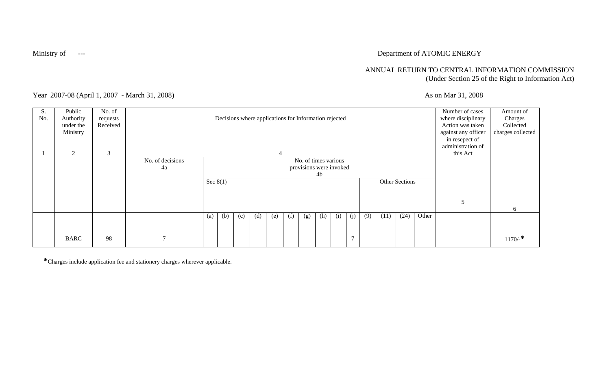## Ministry of The Contract of ATOMIC ENERGY

## ANNUAL RETURN TO CENTRAL INFORMATION COMMISSION (Under Section 25 of the Right to Information Act)

Year 2007-08 (April 1, 2007 - March 31, 2008) As on Mar 31, 2008

| S.<br>No. | Public<br>Authority<br>under the<br>Ministry | No. of<br>requests<br>Received |                        |                   |                                                                                       |     |     | Decisions where applications for Information rejected |     |     |     |     |                |     |      |      |       | Number of cases<br>where disciplinary<br>Action was taken<br>against any officer<br>in resepect of<br>administration of | Amount of<br>Charges<br>Collected<br>charges collected |
|-----------|----------------------------------------------|--------------------------------|------------------------|-------------------|---------------------------------------------------------------------------------------|-----|-----|-------------------------------------------------------|-----|-----|-----|-----|----------------|-----|------|------|-------|-------------------------------------------------------------------------------------------------------------------------|--------------------------------------------------------|
|           | 2                                            | 3                              |                        |                   |                                                                                       |     |     | $\overline{4}$                                        |     |     |     |     |                |     |      |      |       | this Act                                                                                                                |                                                        |
|           |                                              |                                | No. of decisions<br>4a |                   | No. of times various<br>provisions were invoked<br>4b<br>Sec $8(1)$<br>Other Sections |     |     |                                                       |     |     |     |     |                |     |      |      |       |                                                                                                                         |                                                        |
|           |                                              |                                |                        |                   |                                                                                       |     |     |                                                       |     |     |     |     |                |     |      |      |       | 5                                                                                                                       | 6                                                      |
|           |                                              |                                |                        | $\left( a\right)$ | (b)                                                                                   | (c) | (d) | (e)                                                   | (f) | (g) | (h) | (i) | (j)            | (9) | (11) | (24) | Other |                                                                                                                         |                                                        |
|           | <b>BARC</b>                                  | 98                             |                        |                   |                                                                                       |     |     |                                                       |     |     |     |     | $\overline{7}$ |     |      |      |       | $\overline{\phantom{m}}$                                                                                                | $1170/$ -*                                             |

**\***Charges include application fee and stationery charges wherever applicable.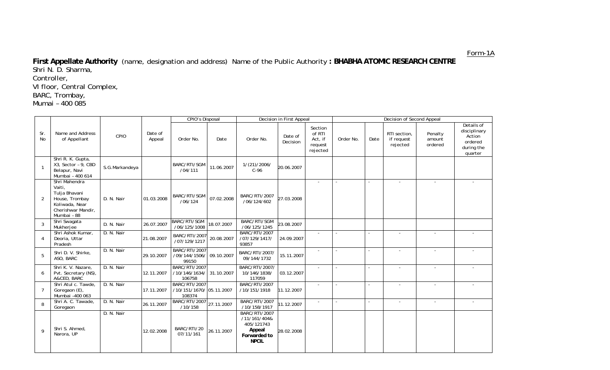Form-1A

**First Appellate Authority** (name, designation and address) Name of the Public Authority **: BHABHA ATOMIC RESEARCH CENTRE**  Shri N. D. Sharma, Controller, VI floor, Central Complex, BARC, Trombay, Mumai – 400 085

|                  |                                                                                                                   |                |                   | <b>CPIO's Disposal</b>                                     |            |                                                                                              | Decision in First Appeal |                                                     |           |                          | Decision of Second Appeal              |                              |                                                                          |
|------------------|-------------------------------------------------------------------------------------------------------------------|----------------|-------------------|------------------------------------------------------------|------------|----------------------------------------------------------------------------------------------|--------------------------|-----------------------------------------------------|-----------|--------------------------|----------------------------------------|------------------------------|--------------------------------------------------------------------------|
| Sr.<br><b>No</b> | Name and Address<br>of Appellant                                                                                  | CPIO           | Date of<br>Appeal | Order No.                                                  | Date       | Order No.                                                                                    | Date of<br>Decision      | Section<br>of RTI<br>Act, if<br>request<br>rejected | Order No. | Date                     | RTI section,<br>if request<br>rejected | Penalty<br>amount<br>ordered | Details of<br>disciplinary<br>Action<br>ordered<br>during the<br>quarter |
| $\mathbf{1}$     | Shri R. K. Gupta,<br>X3, Sector - 9, CBD<br>Belapur, Navi<br>Mumbai - 400 614                                     | S.G.Markandeya |                   | BARC/RTI/SGM<br>/04/111                                    | 11.06.2007 | 1/(21)/2006/<br>$C-96$                                                                       | 20.06.2007               |                                                     |           |                          |                                        |                              |                                                                          |
| $\overline{2}$   | Shri Mahendra<br>Vaiti,<br>Tulja Bhavani<br>House, Trombay<br>Koliwada, Near<br>Cherishwar Mandir,<br>Mumbai - 88 | D. N. Nair     | 01.03.2008        | BARC/RTI/SGM<br>/06/124                                    | 07.02.2008 | BARC/RTI/2007<br>/06/124/602                                                                 | 27.03.2008               | ÷                                                   |           |                          |                                        |                              |                                                                          |
| 3                | Shri Swagata<br>Mukherjee                                                                                         | D. N. Nair     | 26.07.2007        | BARC/RTI/SGM<br>/06/125/1008                               | 18.07.2007 | BARC/RTI/SGM<br>/06/125/1245                                                                 | 23.08.2007               |                                                     |           |                          |                                        |                              |                                                                          |
| $\overline{4}$   | Shri Ashok Kumar,<br>Deoria, Uttar<br>Pradesh                                                                     | D. N. Nair     | 21.08.2007        | BARC/RTI/2007<br>/07/129/1217                              | 20.08.2007 | <b>BARC/RTI/2007</b><br>/07/129/1417/<br>93857                                               | 24.09.2007               | $\sim$                                              |           | $\sim$                   | $\sim$                                 | $\blacksquare$               |                                                                          |
| 5                | Shri D. V. Shirke,<br>ASO, BARC                                                                                   | D. N. Nair     | 29.10.2007        | <b>BARC/RTI/2007</b><br>/09/144/1506/<br>99150             | 09.10.2007 | BARC/RTI/2007/<br>09/144/1732                                                                | 15.11.2007               | $\sim$                                              |           | $\overline{\phantom{a}}$ |                                        | $\overline{\phantom{a}}$     |                                                                          |
| 6                | Shri K. V. Nazare,<br>Pvt. Secretary (NS),<br>A&CED, BARC                                                         | D. N. Nair     | 12.11.2007        | <b>BARC/RTI/2007</b><br>/10/146/1634/<br>106758            | 31.10.2007 | BARC/RTI/2007/<br>10/146/1838/<br>117059                                                     | 03.12.2007               | $\sim$                                              |           |                          |                                        | $\blacksquare$               |                                                                          |
| $\overline{7}$   | Shri Atul c. Tawde<br>Goregaon (E),<br>Mumbai -400 063                                                            | D. N. Nair     | 17.11.2007        | <b>BARC/RTI/2007</b><br>/10/151/1670/ 05.11.2007<br>108374 |            | BARC/RTI/2007<br>/10/151/1918                                                                | 11.12.2007               | $\sim$                                              |           | $\sim$                   | $\sim$                                 | $\sim$                       |                                                                          |
| 8                | Shri A. C. Tawade,<br>Goregaon                                                                                    | D. N. Nair     | 26.11.2007        | BARC/RTI/2007<br>/10/158                                   | 27.11.2007 | BARC/RTI/2007<br>/10/158/1917                                                                | 11.12.2007               | $\overline{\phantom{a}}$                            |           | $\sim$                   | $\sim$                                 | $\sim$                       | $\sim$                                                                   |
| 9                | Shri S. Ahmed,<br>Narora, UP                                                                                      | D. N. Nair     | 12.02.2008        | BARC/RTI/20<br>07/11/161                                   | 26.11.2007 | <b>BARC/RTI/2007</b><br>/11/161/404&<br>405/121743<br>Appeal<br>Forwarded to<br><b>NPCIL</b> | 28.02.2008               |                                                     |           |                          |                                        |                              |                                                                          |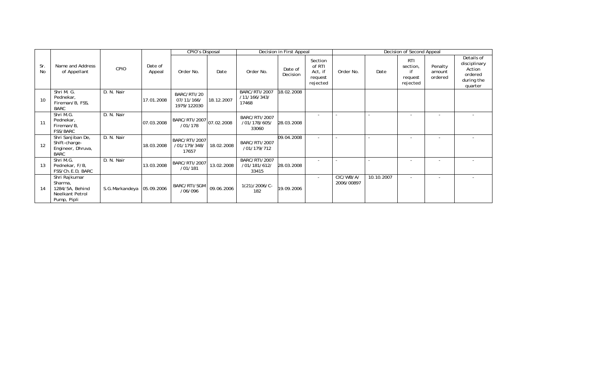|           |                                                                               |                           |                   | <b>CPIO's Disposal</b>                   |            |                                               | Decision in First Appeal |                                                     |                         |            | Decision of Second Appeal                           |                              |                                                                          |
|-----------|-------------------------------------------------------------------------------|---------------------------|-------------------|------------------------------------------|------------|-----------------------------------------------|--------------------------|-----------------------------------------------------|-------------------------|------------|-----------------------------------------------------|------------------------------|--------------------------------------------------------------------------|
| Sr.<br>No | Name and Address<br>of Appellant                                              | CPIO                      | Date of<br>Appeal | Order No.                                | Date       | Order No.                                     | Date of<br>Decision      | Section<br>of RTI<br>Act, if<br>request<br>rejected | Order No.               | Date       | <b>RTI</b><br>section,<br>if<br>request<br>rejected | Penalty<br>amount<br>ordered | Details of<br>disciplinary<br>Action<br>ordered<br>during the<br>quarter |
| 10        | Shri M. G.<br>Pednekar,<br>Fireman/B, FSS,<br>BARC                            | D. N. Nair                | 17.01.2008        | BARC/RTI/20<br>07/11/166/<br>1979/122030 | 18.12.2007 | <b>BARC/RTI/2007</b><br>/11/166/343/<br>17468 | 18.02.2008               |                                                     |                         |            |                                                     |                              |                                                                          |
| 11        | Shri M.G.<br>Pednekar,<br>Fireman/B,<br><b>FSS/BARC</b>                       | D. N. Nair                | 07.03.2008        | BARC/RTI/2007 07.02.2008<br>/01/178      |            | BARC/RTI/2007<br>/01/178/605/<br>33060        | 28.03.2008               | $\overline{\phantom{a}}$                            |                         |            |                                                     |                              |                                                                          |
| 12        | Shri Sanjiban De,<br>Shift-charge-<br>Engineer, Dhruva,<br><b>BARC</b>        | D. N. Nair                | 18.03.2008        | BARC/RTI/2007<br>/01/179/348/<br>17657   | 18.02.2008 | BARC/RTI/2007<br>/01/179/712                  | 09.04.2008               | $\overline{\phantom{a}}$                            |                         |            |                                                     |                              |                                                                          |
| 13        | Shri M.G.<br>Pednekar, F/B,<br>FSS/Ch.E.D, BARC                               | D. N. Nair                | 13.03.2008        | BARC/RTI/2007<br>/01/181                 | 13.02.2008 | BARC/RTI/2007<br>/01/181/612/<br>33415        | 28.03.2008               | $\overline{\phantom{a}}$                            |                         |            |                                                     |                              |                                                                          |
| 14        | Shri Rajkumar<br>Sharma,<br>1284/5A, Behind<br>Neelkant Petrol<br>Pump, Pipli | S.G.Markandeya 05.09.2006 |                   | BARC/RTI/SGM<br>/06/096                  | 09.06.2006 | $1(21)/2006/C$ -<br>182                       | 19.09.2006               | $\sim$                                              | CIC/WB/A/<br>2006/00897 | 10.10.2007 | $\overline{\phantom{a}}$                            | $\overline{\phantom{a}}$     |                                                                          |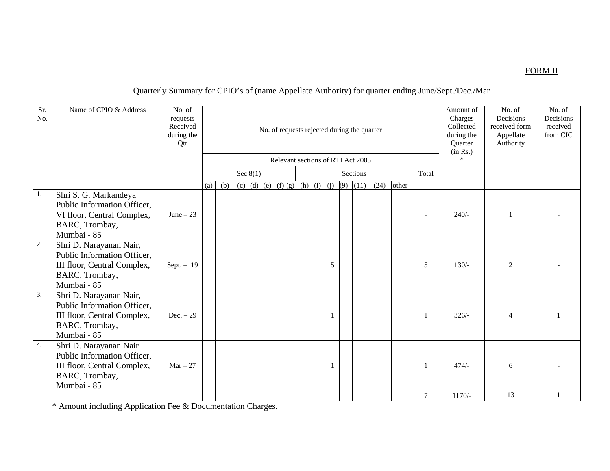## FORM II

## Quarterly Summary for CPIO's of (name Appellate Authority) for quarter ending June/Sept./Dec./Mar

| Sr.<br>No. | Name of CPIO & Address                                                                                                 | No. of<br>requests<br>Received<br>during the<br>Qtr |     |                                                                                         |  |            |  |  |  |  |  |   |  | No. of requests rejected during the quarter<br>Relevant sections of RTI Act 2005 |  |        | Amount of<br>Charges<br>Collected<br>during the<br>Quarter<br>(in Rs.)<br>$\ast$ | No. of<br>Decisions<br>received form<br>Appellate<br>Authority | No. of<br>Decisions<br>received<br>from CIC |
|------------|------------------------------------------------------------------------------------------------------------------------|-----------------------------------------------------|-----|-----------------------------------------------------------------------------------------|--|------------|--|--|--|--|--|---|--|----------------------------------------------------------------------------------|--|--------|----------------------------------------------------------------------------------|----------------------------------------------------------------|---------------------------------------------|
|            |                                                                                                                        |                                                     |     |                                                                                         |  | Sec $8(1)$ |  |  |  |  |  |   |  | Sections                                                                         |  | Total  |                                                                                  |                                                                |                                             |
|            |                                                                                                                        |                                                     | (a) | $(9)$ $(11)$<br>(c) $  (d)   (e)   (f)   (g)   (h)   (i)   (j)$<br>(24)<br>(b)<br>other |  |            |  |  |  |  |  |   |  |                                                                                  |  |        |                                                                                  |                                                                |                                             |
| 1.         | Shri S. G. Markandeya<br>Public Information Officer,<br>VI floor, Central Complex,<br>BARC, Trombay,<br>Mumbai - 85    | June $-23$                                          |     |                                                                                         |  |            |  |  |  |  |  |   |  |                                                                                  |  |        | $240/-$                                                                          | $\mathbf{1}$                                                   |                                             |
| 2.         | Shri D. Narayanan Nair,<br>Public Information Officer,<br>III floor, Central Complex,<br>BARC, Trombay,<br>Mumbai - 85 | Sept. $-19$                                         |     |                                                                                         |  |            |  |  |  |  |  | 5 |  |                                                                                  |  | 5      | $130/-$                                                                          | $\overline{2}$                                                 |                                             |
| 3.         | Shri D. Narayanan Nair,<br>Public Information Officer,<br>III floor, Central Complex,<br>BARC, Trombay,<br>Mumbai - 85 | $Dec. - 29$                                         |     |                                                                                         |  |            |  |  |  |  |  |   |  |                                                                                  |  |        | $326/-$                                                                          | $\overline{4}$                                                 |                                             |
| 4.         | Shri D. Narayanan Nair<br>Public Information Officer,<br>III floor, Central Complex,<br>BARC, Trombay,<br>Mumbai - 85  | $Mar - 27$                                          |     |                                                                                         |  |            |  |  |  |  |  |   |  |                                                                                  |  | -1     | $474/-$                                                                          | 6                                                              |                                             |
|            |                                                                                                                        |                                                     |     |                                                                                         |  |            |  |  |  |  |  |   |  |                                                                                  |  | $\tau$ | $1170/-$                                                                         | 13                                                             |                                             |

\* Amount including Application Fee & Documentation Charges.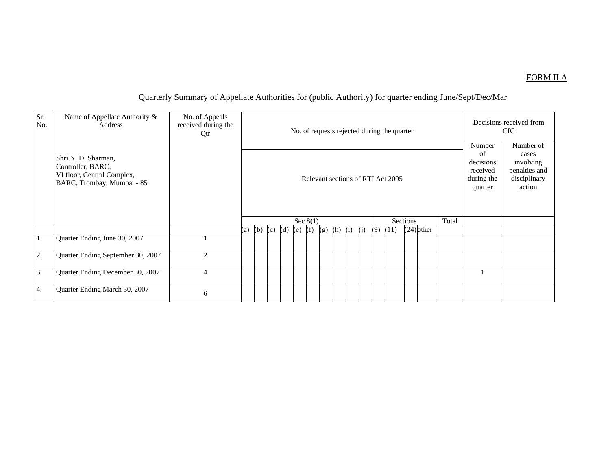### FORM II A

# Quarterly Summary of Appellate Authorities for (public Authority) for quarter ending June/Sept/Dec/Mar

| Sr.<br>No. | Name of Appellate Authority &<br>Address                                                             | No. of Appeals<br>received during the<br>Qtr |     |             |  |  |            |  |     |           |  |     |     | No. of requests rejected during the quarter |              |       |                                                                | Decisions received from<br><b>CIC</b>                                      |
|------------|------------------------------------------------------------------------------------------------------|----------------------------------------------|-----|-------------|--|--|------------|--|-----|-----------|--|-----|-----|---------------------------------------------|--------------|-------|----------------------------------------------------------------|----------------------------------------------------------------------------|
|            | Shri N. D. Sharman,<br>Controller, BARC,<br>VI floor, Central Complex,<br>BARC, Trombay, Mumbai - 85 |                                              |     |             |  |  |            |  |     |           |  |     |     | Relevant sections of RTI Act 2005           |              |       | Number<br>of<br>decisions<br>received<br>during the<br>quarter | Number of<br>cases<br>involving<br>penalties and<br>disciplinary<br>action |
|            |                                                                                                      |                                              |     |             |  |  | Sec $8(1)$ |  |     |           |  |     |     | Sections                                    |              | Total |                                                                |                                                                            |
|            |                                                                                                      |                                              | (a) | (b) (c) (d) |  |  | $(e)$ (f)  |  | (g) | $(h)$ (i) |  | (i) | (9) | (11)                                        | $(24)$ other |       |                                                                |                                                                            |
| 1.         | Quarter Ending June 30, 2007                                                                         |                                              |     |             |  |  |            |  |     |           |  |     |     |                                             |              |       |                                                                |                                                                            |
| 2.         | Quarter Ending September 30, 2007                                                                    | $\overline{2}$                               |     |             |  |  |            |  |     |           |  |     |     |                                             |              |       |                                                                |                                                                            |
| 3.         | Quarter Ending December 30, 2007                                                                     | $\overline{4}$                               |     |             |  |  |            |  |     |           |  |     |     |                                             |              |       |                                                                |                                                                            |
| 4.         | Quarter Ending March 30, 2007                                                                        | 6                                            |     |             |  |  |            |  |     |           |  |     |     |                                             |              |       |                                                                |                                                                            |